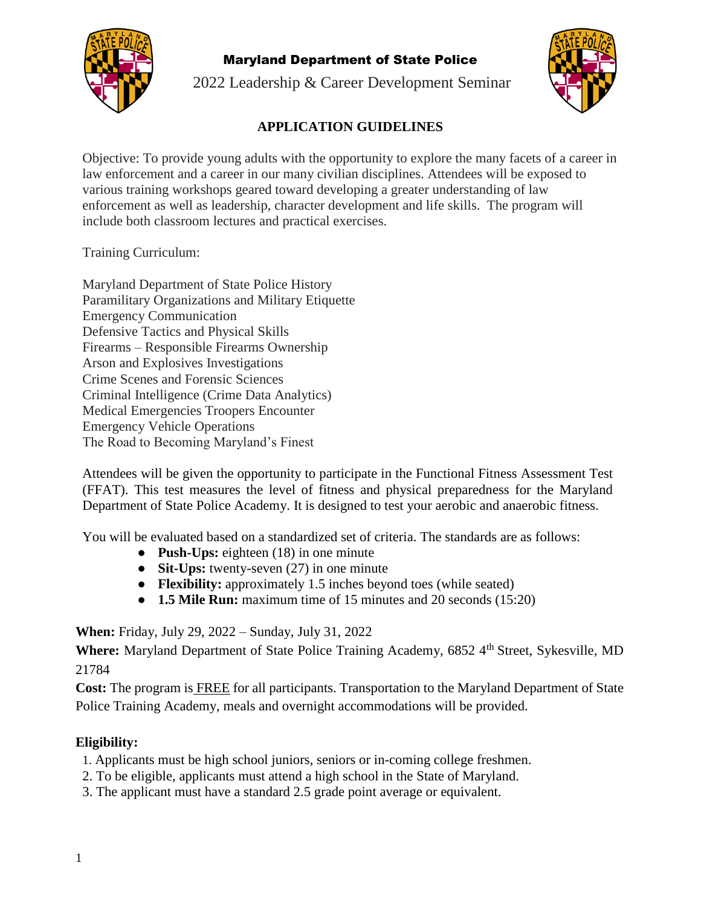

2022 Leadership & Career Development Seminar



## **APPLICATION GUIDELINES**

Objective: To provide young adults with the opportunity to explore the many facets of a career in law enforcement and a career in our many civilian disciplines. Attendees will be exposed to various training workshops geared toward developing a greater understanding of law enforcement as well as leadership, character development and life skills. The program will include both classroom lectures and practical exercises.

Training Curriculum:

Maryland Department of State Police History Paramilitary Organizations and Military Etiquette Emergency Communication Defensive Tactics and Physical Skills Firearms – Responsible Firearms Ownership Arson and Explosives Investigations Crime Scenes and Forensic Sciences Criminal Intelligence (Crime Data Analytics) Medical Emergencies Troopers Encounter Emergency Vehicle Operations The Road to Becoming Maryland's Finest

Attendees will be given the opportunity to participate in the Functional Fitness Assessment Test (FFAT). This test measures the level of fitness and physical preparedness for the Maryland Department of State Police Academy. It is designed to test your aerobic and anaerobic fitness.

You will be evaluated based on a standardized set of criteria. The standards are as follows:

- **Push-Ups:** eighteen (18) in one minute
- **Sit-Ups:** twenty-seven (27) in one minute
- **Flexibility:** approximately 1.5 inches beyond toes (while seated)
- **1.5 Mile Run:** maximum time of 15 minutes and 20 seconds (15:20)

**When:** Friday, July 29, 2022 – Sunday, July 31, 2022

**Where:** Maryland Department of State Police Training Academy, 6852 4<sup>th</sup> Street, Sykesville, MD 21784

**Cost:** The program is FREE for all participants. Transportation to the Maryland Department of State Police Training Academy, meals and overnight accommodations will be provided.

## **Eligibility:**

- 1. Applicants must be high school juniors, seniors or in-coming college freshmen.
- 2. To be eligible, applicants must attend a high school in the State of Maryland.
- 3. The applicant must have a standard 2.5 grade point average or equivalent.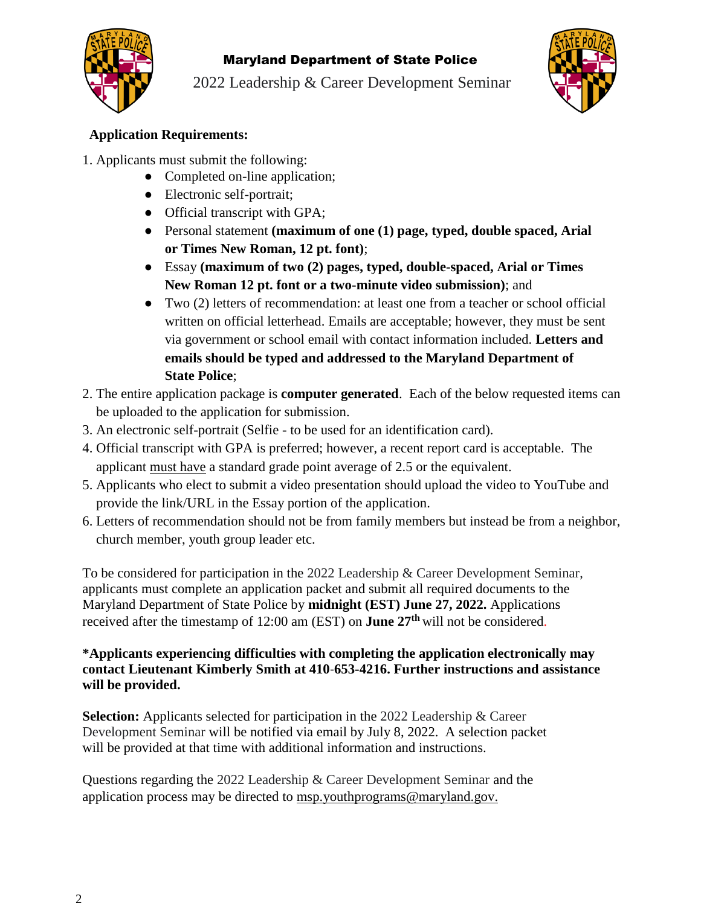

2022 Leadership & Career Development Seminar



## **Application Requirements:**

- 1. Applicants must submit the following:
	- Completed on-line application;
	- Electronic self-portrait;
	- Official transcript with GPA;
	- Personal statement **(maximum of one (1) page, typed, double spaced, Arial or Times New Roman, 12 pt. font)**;
	- Essay **(maximum of two (2) pages, typed, double-spaced, Arial or Times New Roman 12 pt. font or a two-minute video submission)**; and
	- Two (2) letters of recommendation: at least one from a teacher or school official written on official letterhead. Emails are acceptable; however, they must be sent via government or school email with contact information included. **Letters and emails should be typed and addressed to the Maryland Department of State Police**;
- 2. The entire application package is **computer generated**. Each of the below requested items can be uploaded to the application for submission.
- 3. An electronic self-portrait (Selfie to be used for an identification card).
- 4. Official transcript with GPA is preferred; however, a recent report card is acceptable. The applicant must have a standard grade point average of 2.5 or the equivalent.
- 5. Applicants who elect to submit a video presentation should upload the video to YouTube and provide the link/URL in the Essay portion of the application.
- 6. Letters of recommendation should not be from family members but instead be from a neighbor, church member, youth group leader etc.

To be considered for participation in the 2022 Leadership & Career Development Seminar, applicants must complete an application packet and submit all required documents to the Maryland Department of State Police by **midnight (EST) June 27, 2022.** Applications received after the timestamp of 12:00 am (EST) on **June 27th** will not be considered.

#### **\*Applicants experiencing difficulties with completing the application electronically may contact Lieutenant Kimberly Smith at 410**-**653-4216. Further instructions and assistance will be provided.**

**Selection:** Applicants selected for participation in the 2022 Leadership & Career Development Seminar will be notified via email by July 8, 2022. A selection packet will be provided at that time with additional information and instructions.

Questions regarding the 2022 Leadership & Career Development Seminar and the application process may be directed to [msp.youthprograms@maryland.gov.](mailto:msp.youthprograms@maryland.gov)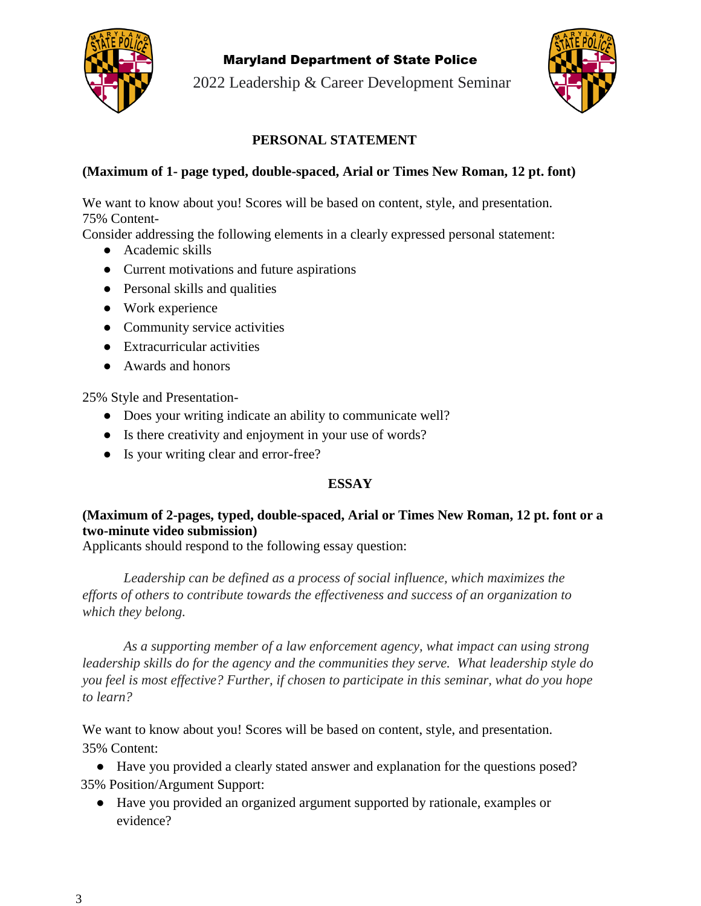

2022 Leadership & Career Development Seminar



## **PERSONAL STATEMENT**

#### **(Maximum of 1- page typed, double-spaced, Arial or Times New Roman, 12 pt. font)**

We want to know about you! Scores will be based on content, style, and presentation. 75% Content-

Consider addressing the following elements in a clearly expressed personal statement:

- Academic skills
- Current motivations and future aspirations
- Personal skills and qualities
- Work experience
- Community service activities
- Extracurricular activities
- Awards and honors

25% Style and Presentation-

- Does your writing indicate an ability to communicate well?
- Is there creativity and enjoyment in your use of words?
- Is your writing clear and error-free?

#### **ESSAY**

## **(Maximum of 2-pages, typed, double-spaced, Arial or Times New Roman, 12 pt. font or a two-minute video submission)**

Applicants should respond to the following essay question:

*Leadership can be defined as a process of social influence, which maximizes the efforts of others to contribute towards the effectiveness and success of an organization to which they belong.*

*As a supporting member of a law enforcement agency, what impact can using strong leadership skills do for the agency and the communities they serve. What leadership style do you feel is most effective? Further, if chosen to participate in this seminar, what do you hope to learn?*

We want to know about you! Scores will be based on content, style, and presentation. 35% Content:

● Have you provided a clearly stated answer and explanation for the questions posed? 35% Position/Argument Support:

● Have you provided an organized argument supported by rationale, examples or evidence?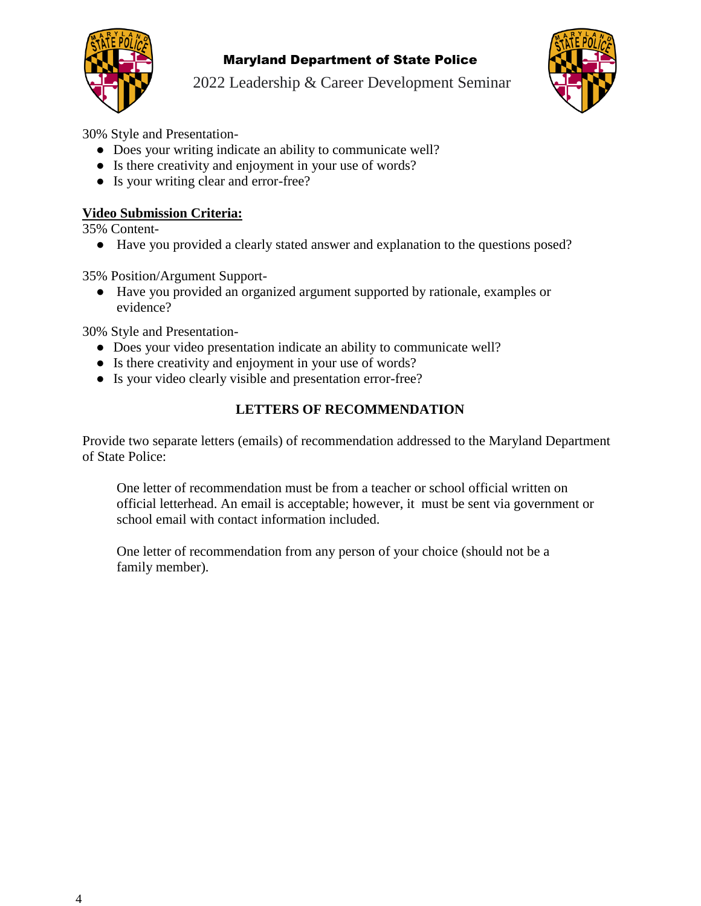

2022 Leadership & Career Development Seminar



30% Style and Presentation-

- Does your writing indicate an ability to communicate well?
- Is there creativity and enjoyment in your use of words?
- Is your writing clear and error-free?

### **Video Submission Criteria:**

35% Content-

● Have you provided a clearly stated answer and explanation to the questions posed?

35% Position/Argument Support-

● Have you provided an organized argument supported by rationale, examples or evidence?

30% Style and Presentation-

- Does your video presentation indicate an ability to communicate well?
- Is there creativity and enjoyment in your use of words?
- Is your video clearly visible and presentation error-free?

## **LETTERS OF RECOMMENDATION**

Provide two separate letters (emails) of recommendation addressed to the Maryland Department of State Police:

One letter of recommendation must be from a teacher or school official written on official letterhead. An email is acceptable; however, it must be sent via government or school email with contact information included.

One letter of recommendation from any person of your choice (should not be a family member).